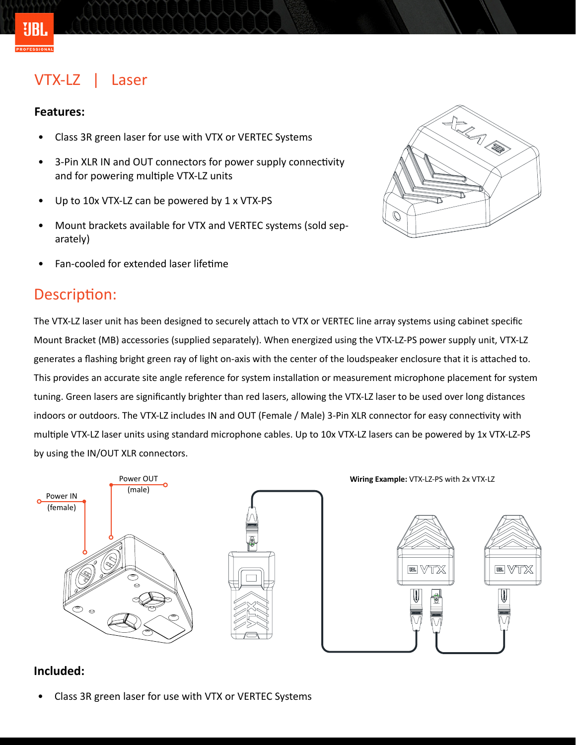## VTX-LZ | Laser

#### **Features:**

¥IRI

- Class 3R green laser for use with VTX or VERTEC Systems
- 3-Pin XLR IN and OUT connectors for power supply connectivity and for powering multiple VTX-LZ units
- Up to 10x VTX-LZ can be powered by 1 x VTX-PS
- Mount brackets available for VTX and VERTEC systems (sold separately)
- Fan-cooled for extended laser lifetime

### Description:



The VTX-LZ laser unit has been designed to securely attach to VTX or VERTEC line array systems using cabinet specific Mount Bracket (MB) accessories (supplied separately). When energized using the VTX-LZ-PS power supply unit, VTX-LZ generates a flashing bright green ray of light on-axis with the center of the loudspeaker enclosure that it is attached to. This provides an accurate site angle reference for system installation or measurement microphone placement for system tuning. Green lasers are significantly brighter than red lasers, allowing the VTX-LZ laser to be used over long distances indoors or outdoors. The VTX-LZ includes IN and OUT (Female / Male) 3-Pin XLR connector for easy connectivity with multiple VTX-LZ laser units using standard microphone cables. Up to 10x VTX-LZ lasers can be powered by 1x VTX-LZ-PS by using the IN/OUT XLR connectors.



**Wiring Example:** VTX-LZ-PS with 2x VTX-LZ



#### **Included:**

• Class 3R green laser for use with VTX or VERTEC Systems